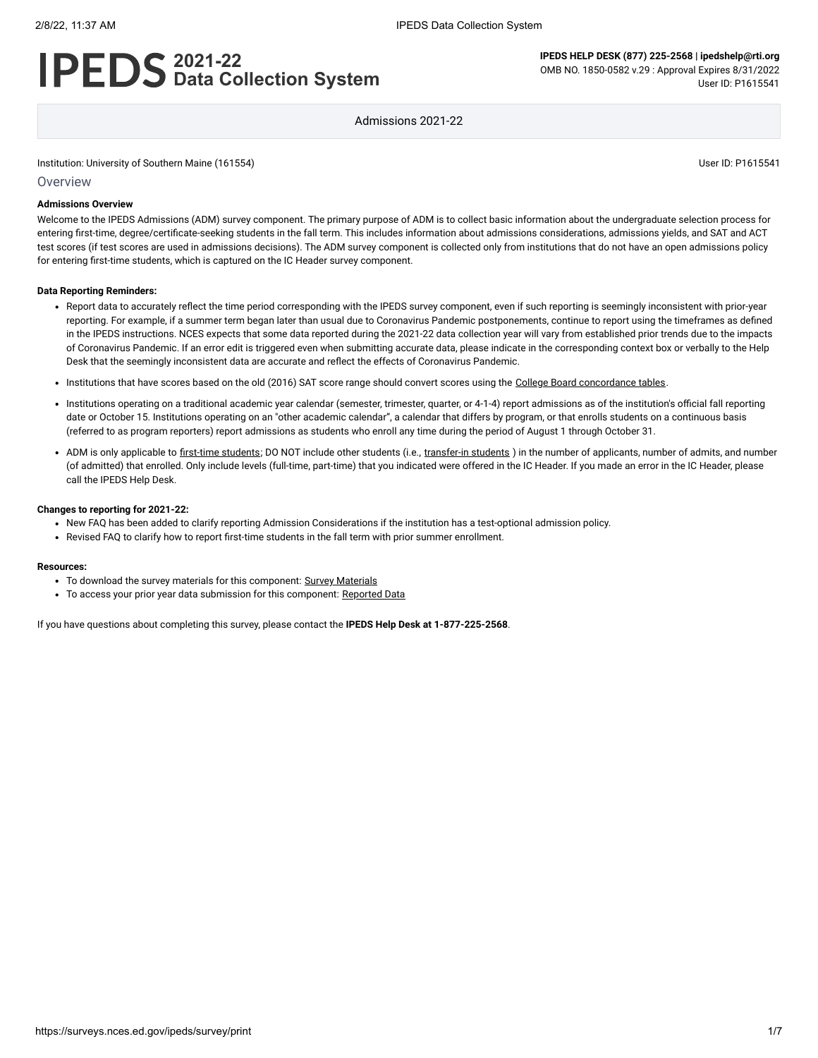# **2021-22 Data Collection System**

**IPEDS HELP DESK (877) 225-2568 | ipedshelp@rti.org** OMB NO. 1850-0582 v.29 : Approval Expires 8/31/2022 User ID: P1615541

Admissions 2021-22

Institution: University of Southern Maine (161554) User ID: P1615541

**Overview** 

#### **Admissions Overview**

Welcome to the IPEDS Admissions (ADM) survey component. The primary purpose of ADM is to collect basic information about the undergraduate selection process for entering first-time, degree/certificate-seeking students in the fall term. This includes information about admissions considerations, admissions yields, and SAT and ACT test scores (if test scores are used in admissions decisions). The ADM survey component is collected only from institutions that do not have an open admissions policy for entering first-time students, which is captured on the IC Header survey component.

#### **Data Reporting Reminders:**

- Report data to accurately reflect the time period corresponding with the IPEDS survey component, even if such reporting is seemingly inconsistent with prior-year reporting. For example, if a summer term began later than usual due to Coronavirus Pandemic postponements, continue to report using the timeframes as defined in the IPEDS instructions. NCES expects that some data reported during the 2021-22 data collection year will vary from established prior trends due to the impacts of Coronavirus Pandemic. If an error edit is triggered even when submitting accurate data, please indicate in the corresponding context box or verbally to the Help Desk that the seemingly inconsistent data are accurate and reflect the effects of Coronavirus Pandemic.
- . Institutions that have scores based on the old (2016) SAT score range should convert scores using the [College Board concordance tables](https://collegereadiness.collegeboard.org/educators/higher-ed/scoring-changes/concordance).
- Institutions operating on a traditional academic year calendar (semester, trimester, quarter, or 4-1-4) report admissions as of the institution's official fall reporting date or October 15. Institutions operating on an "other academic calendar", a calendar that differs by program, or that enrolls students on a continuous basis (referred to as program reporters) report admissions as students who enroll any time during the period of August 1 through October 31.
- ADM is only applicable to [first-time students](javascript:openglossary(241)); DO NOT include other students (i.e., [transfer-in students](javascript:openglossary(1087)) ) in the number of applicants, number of admits, and number (of admitted) that enrolled. Only include levels (full-time, part-time) that you indicated were offered in the IC Header. If you made an error in the IC Header, please call the IPEDS Help Desk.

#### **Changes to reporting for 2021-22:**

- New FAQ has been added to clarify reporting Admission Considerations if the institution has a test-optional admission policy.
- Revised FAQ to clarify how to report first-time students in the fall term with prior summer enrollment.

#### **Resources:**

- To download the survey materials for this component: Survey [Materials](https://surveys.nces.ed.gov/ipeds/public/survey-materials/index)
- To access your prior year data submission for this component: [Reported Data](javascript:openReportedData(161554, 14))

If you have questions about completing this survey, please contact the **IPEDS Help Desk at 1-877-225-2568**.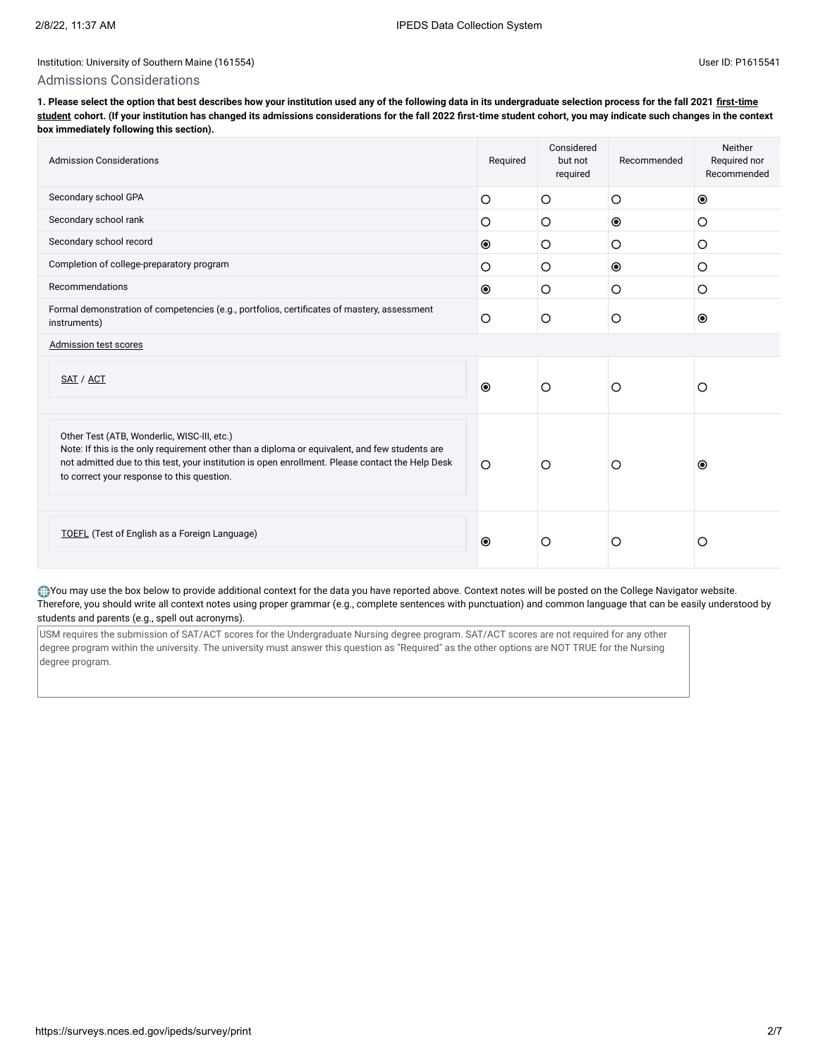#### Admissions Considerations

**[1. Please select the option that best describes how your institution used any of the following data in its undergraduate selection process for the fall 2021 first-time](javascript:openglossary(241)) student cohort. (If your institution has changed its admissions considerations for the fall 2022 first-time student cohort, you may indicate such changes in the context box immediately following this section).**

| <b>Admission Considerations</b>                                                                                                                                                                                                                                                                 | Required       | Considered<br>but not<br>required | Recommended    | Neither<br>Required nor<br>Recommended |
|-------------------------------------------------------------------------------------------------------------------------------------------------------------------------------------------------------------------------------------------------------------------------------------------------|----------------|-----------------------------------|----------------|----------------------------------------|
| Secondary school GPA                                                                                                                                                                                                                                                                            | $\circ$        | O                                 | $\circ$        | $\circledcirc$                         |
| Secondary school rank                                                                                                                                                                                                                                                                           | $\circ$        | O                                 | $\circledcirc$ | O                                      |
| Secondary school record                                                                                                                                                                                                                                                                         | $\circledcirc$ | O                                 | O              | O                                      |
| Completion of college-preparatory program                                                                                                                                                                                                                                                       | $\circ$        | O                                 | $\bullet$      | $\circ$                                |
| Recommendations                                                                                                                                                                                                                                                                                 | $\bullet$      | O                                 | $\circ$        | O                                      |
| Formal demonstration of competencies (e.g., portfolios, certificates of mastery, assessment<br>instruments)                                                                                                                                                                                     |                | $\circ$                           | $\circ$        | $\odot$                                |
| Admission test scores                                                                                                                                                                                                                                                                           |                |                                   |                |                                        |
| SAT / ACT                                                                                                                                                                                                                                                                                       | $\bullet$      | $\circ$                           | O              | O                                      |
| Other Test (ATB, Wonderlic, WISC-III, etc.)<br>Note: If this is the only requirement other than a diploma or equivalent, and few students are<br>not admitted due to this test, your institution is open enrollment. Please contact the Help Desk<br>to correct your response to this question. | $\circ$        | $\circ$                           | О              | $\bullet$                              |
| <b>TOEFL</b> (Test of English as a Foreign Language)                                                                                                                                                                                                                                            | $\odot$        | O                                 | O              | O                                      |

You may use the box below to provide additional context for the data you have reported above. Context notes will be posted on the College Navigator website. Therefore, you should write all context notes using proper grammar (e.g., complete sentences with punctuation) and common language that can be easily understood by students and parents (e.g., spell out acronyms).

USM requires the submission of SAT/ACT scores for the Undergraduate Nursing degree program. SAT/ACT scores are not required for any other degree program within the university. The university must answer this question as "Required" as the other options are NOT TRUE for the Nursing degree program.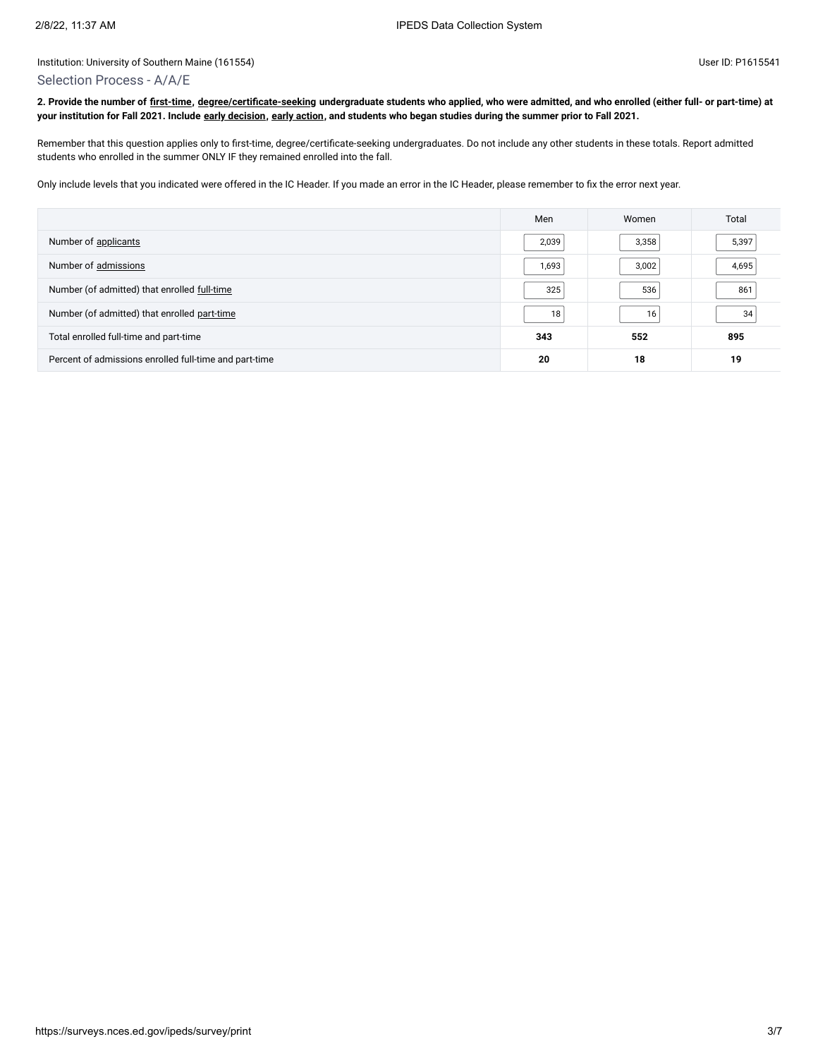#### Selection Process - A/A/E

**2. Provide the number of [first-time](javascript:openglossary(241)), [degree/certificate-seeking](javascript:openglossary(171)) undergraduate students who applied, who were admitted, and who enrolled (either full- or part-time) at your institution for Fall 2021. Include [early decision,](javascript:openglossary(705)) [early action](javascript:openglossary(703)), and students who began studies during the summer prior to Fall 2021.**

Remember that this question applies only to first-time, degree/certificate-seeking undergraduates. Do not include any other students in these totals. Report admitted students who enrolled in the summer ONLY IF they remained enrolled into the fall.

Only include levels that you indicated were offered in the IC Header. If you made an error in the IC Header, please remember to fix the error next year.

|                                                        | Men   | Women           | Total |
|--------------------------------------------------------|-------|-----------------|-------|
| Number of applicants                                   | 2,039 | 3,358           | 5,397 |
| Number of admissions                                   | 1,693 | 3,002           | 4,695 |
| Number (of admitted) that enrolled full-time           | 325   | 536             | 861   |
| Number (of admitted) that enrolled part-time           | 18    | 16 <sub>1</sub> | 34    |
| Total enrolled full-time and part-time                 | 343   | 552             | 895   |
| Percent of admissions enrolled full-time and part-time | 20    | 18              | 19    |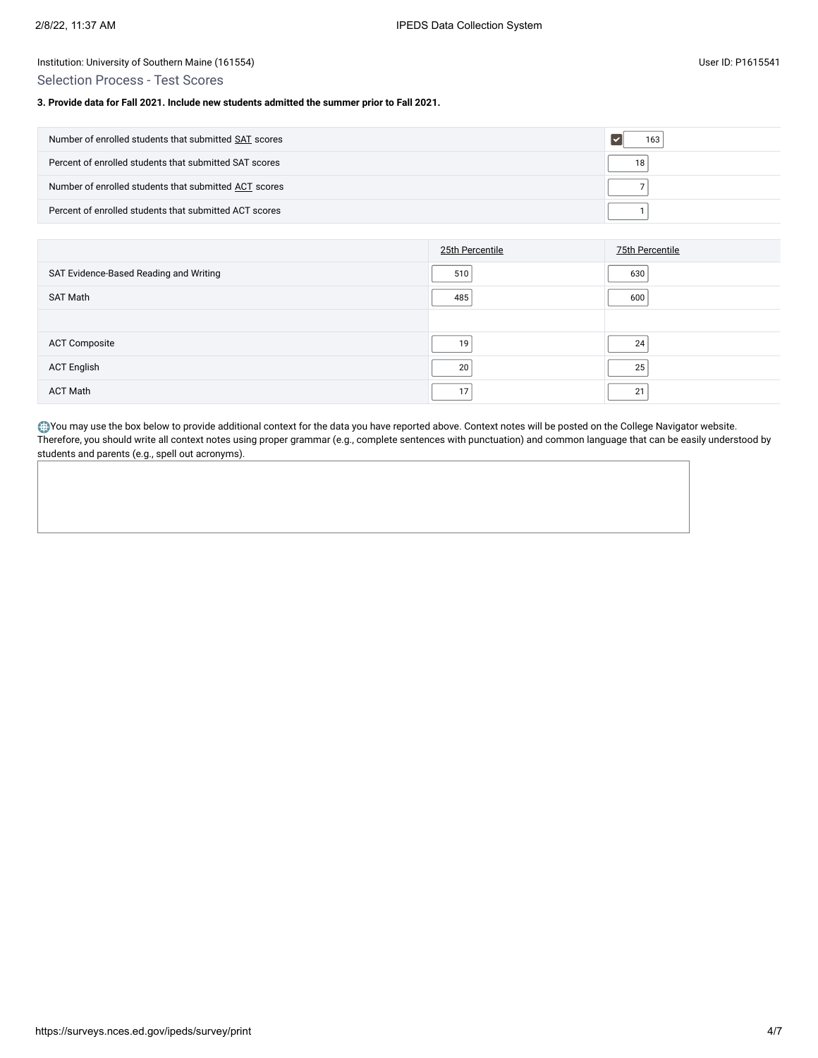Selection Process - Test Scores

#### **3. Provide data for Fall 2021. Include new students admitted the summer prior to Fall 2021.**

| Number of enrolled students that submitted SAT scores  | 163 |
|--------------------------------------------------------|-----|
| Percent of enrolled students that submitted SAT scores | 18  |
| Number of enrolled students that submitted ACT scores  |     |
| Percent of enrolled students that submitted ACT scores |     |

|                                        | 25th Percentile | 75th Percentile |
|----------------------------------------|-----------------|-----------------|
| SAT Evidence-Based Reading and Writing | 510             | 630             |
| SAT Math                               | 485             | 600             |
|                                        |                 |                 |
| <b>ACT Composite</b>                   | 19              | 24              |
| <b>ACT English</b>                     | 20              | 25              |
| <b>ACT Math</b>                        |                 | 21              |

You may use the box below to provide additional context for the data you have reported above. Context notes will be posted on the College Navigator website. Therefore, you should write all context notes using proper grammar (e.g., complete sentences with punctuation) and common language that can be easily understood by students and parents (e.g., spell out acronyms).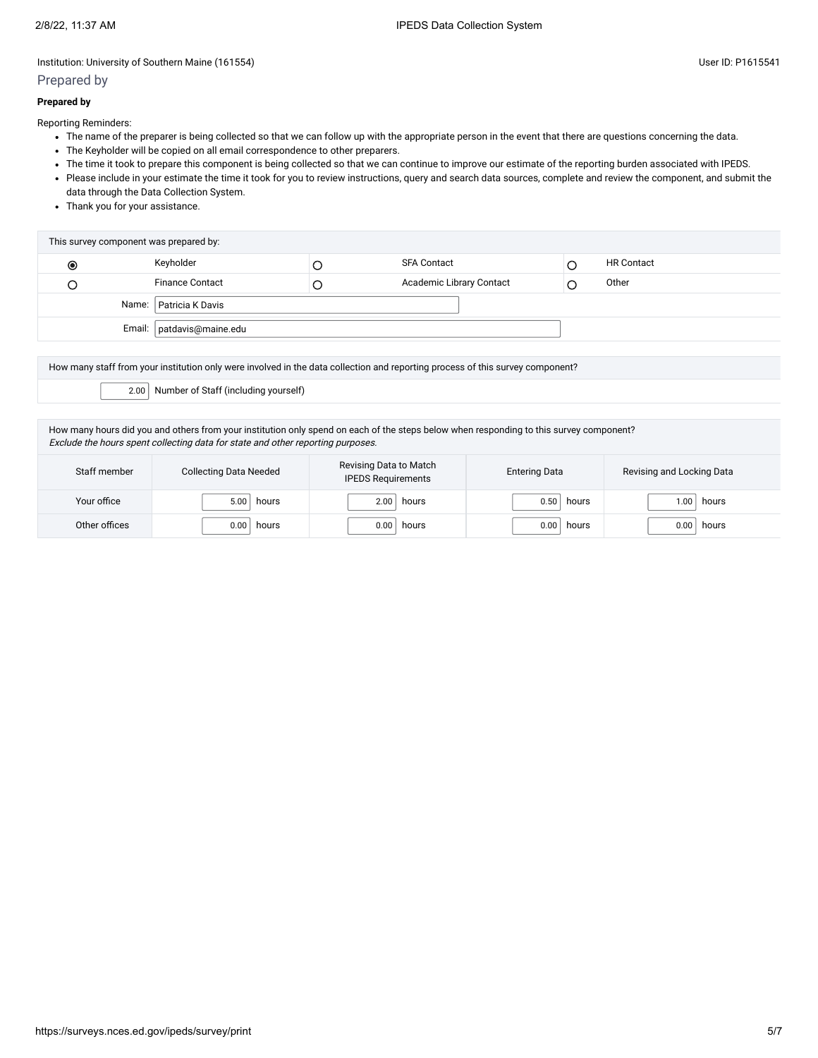# Prepared by

## **Prepared by**

Reporting Reminders:

- The name of the preparer is being collected so that we can follow up with the appropriate person in the event that there are questions concerning the data.
- The Keyholder will be copied on all email correspondence to other preparers.
- The time it took to prepare this component is being collected so that we can continue to improve our estimate of the reporting burden associated with IPEDS.
- Please include in your estimate the time it took for you to review instructions, query and search data sources, complete and review the component, and submit the data through the Data Collection System.
- Thank you for your assistance.

| This survey component was prepared by: |                             |  |                          |  |                   |  |
|----------------------------------------|-----------------------------|--|--------------------------|--|-------------------|--|
| $_{\odot}$                             | Keyholder                   |  | <b>SFA Contact</b>       |  | <b>HR Contact</b> |  |
|                                        | <b>Finance Contact</b>      |  | Academic Library Contact |  | Other             |  |
| Name:   Patricia K Davis               |                             |  |                          |  |                   |  |
|                                        | Email:   patdavis@maine.edu |  |                          |  |                   |  |
|                                        |                             |  |                          |  |                   |  |

How many staff from your institution only were involved in the data collection and reporting process of this survey component?

2.00 Number of Staff (including yourself)

How many hours did you and others from your institution only spend on each of the steps below when responding to this survey component? Exclude the hours spent collecting data for state and other reporting purposes.

| Staff member  | <b>Collecting Data Needed</b> | Revising Data to Match<br><b>IPEDS Requirements</b> | <b>Entering Data</b> | Revising and Locking Data |
|---------------|-------------------------------|-----------------------------------------------------|----------------------|---------------------------|
| Your office   | 5.00                          | 2.00                                                | 0.50                 | hours                     |
|               | hours                         | hours                                               | hours                | .00 <sub>1</sub>          |
| Other offices | 0.00                          | 0.00                                                | 0.00                 | 0.00                      |
|               | hours                         | hours                                               | hours                | hours                     |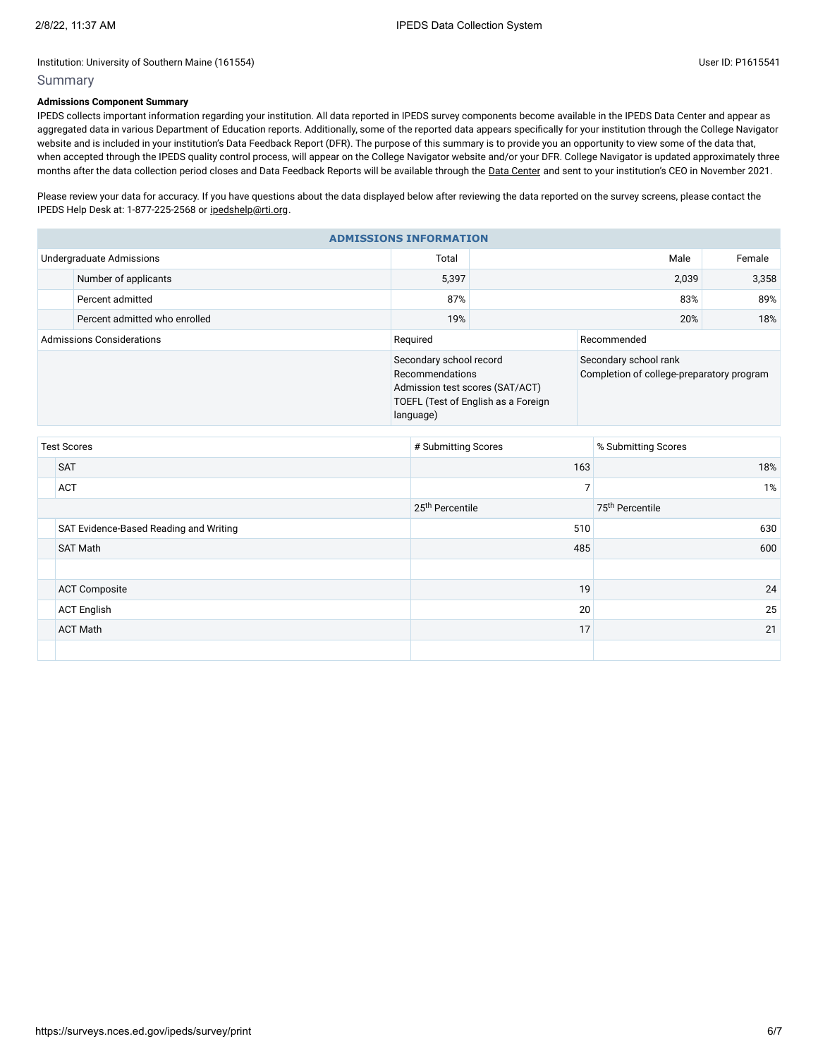## Summary

## **Admissions Component Summary**

IPEDS collects important information regarding your institution. All data reported in IPEDS survey components become available in the IPEDS Data Center and appear as aggregated data in various Department of Education reports. Additionally, some of the reported data appears specifically for your institution through the College Navigator website and is included in your institution's Data Feedback Report (DFR). The purpose of this summary is to provide you an opportunity to view some of the data that, when accepted through the IPEDS quality control process, will appear on the College Navigator website and/or your DFR. College Navigator is updated approximately three months after the data collection period closes and Data Feedback Reports will be available through the Data [Center](https://nces.ed.gov/ipeds/use-the-data) and sent to your institution's CEO in November 2021.

Please review your data for accuracy. If you have questions about the data displayed below after reviewing the data reported on the survey screens, please contact the IPEDS Help Desk at: 1-877-225-2568 or [ipedshelp@rti.org.](mailto:ipedshelp@rti.org)

| <b>ADMISSIONS INFORMATION</b>    |                               |                                                                                            |                                     |                                                                    |        |  |  |
|----------------------------------|-------------------------------|--------------------------------------------------------------------------------------------|-------------------------------------|--------------------------------------------------------------------|--------|--|--|
| Undergraduate Admissions         |                               | Total                                                                                      |                                     | Male                                                               | Female |  |  |
|                                  | Number of applicants          | 5,397                                                                                      | 2,039                               |                                                                    | 3,358  |  |  |
|                                  | Percent admitted              | 87%                                                                                        | 83%                                 |                                                                    | 89%    |  |  |
|                                  | Percent admitted who enrolled | 19%                                                                                        |                                     | 20%                                                                | 18%    |  |  |
| <b>Admissions Considerations</b> |                               | Required                                                                                   | Recommended                         |                                                                    |        |  |  |
|                                  |                               | Secondary school record<br>Recommendations<br>Admission test scores (SAT/ACT)<br>language) | TOEFL (Test of English as a Foreign | Secondary school rank<br>Completion of college-preparatory program |        |  |  |

| <b>Test Scores</b> |                                        | # Submitting Scores         | % Submitting Scores         |  |
|--------------------|----------------------------------------|-----------------------------|-----------------------------|--|
|                    | <b>SAT</b>                             | 163                         | 18%                         |  |
|                    | <b>ACT</b>                             |                             | $1\%$                       |  |
|                    |                                        | 25 <sup>th</sup> Percentile | 75 <sup>th</sup> Percentile |  |
|                    | SAT Evidence-Based Reading and Writing | 510                         | 630                         |  |
|                    | <b>SAT Math</b>                        | 485                         | 600                         |  |
|                    |                                        |                             |                             |  |
|                    | <b>ACT Composite</b>                   | 19                          | 24                          |  |
|                    | <b>ACT English</b>                     | 20                          | 25                          |  |
|                    | <b>ACT Math</b>                        | 17                          | 21                          |  |
|                    |                                        |                             |                             |  |